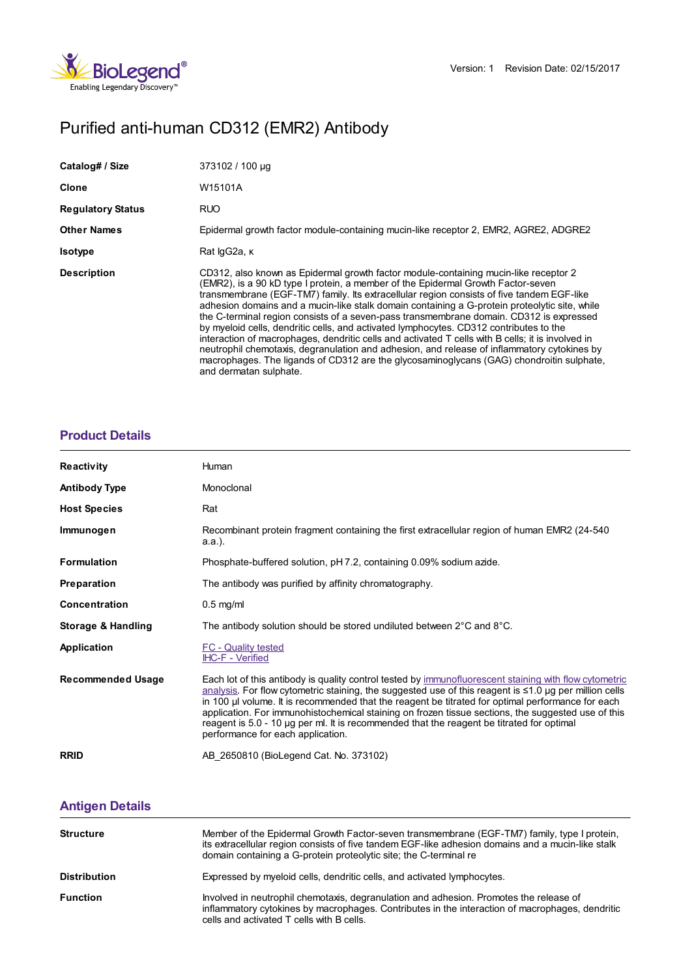

# Purified anti-human CD312 (EMR2) Antibody

| Catalog# / Size          | 373102 / 100 µg                                                                                                                                                                                                                                                                                                                                                                                                                                                                                                                                                                                                                                                                                                                                                                                                                                                                       |
|--------------------------|---------------------------------------------------------------------------------------------------------------------------------------------------------------------------------------------------------------------------------------------------------------------------------------------------------------------------------------------------------------------------------------------------------------------------------------------------------------------------------------------------------------------------------------------------------------------------------------------------------------------------------------------------------------------------------------------------------------------------------------------------------------------------------------------------------------------------------------------------------------------------------------|
| <b>Clone</b>             | W15101A                                                                                                                                                                                                                                                                                                                                                                                                                                                                                                                                                                                                                                                                                                                                                                                                                                                                               |
| <b>Regulatory Status</b> | <b>RUO</b>                                                                                                                                                                                                                                                                                                                                                                                                                                                                                                                                                                                                                                                                                                                                                                                                                                                                            |
| <b>Other Names</b>       | Epidermal growth factor module-containing mucin-like receptor 2, EMR2, AGRE2, ADGRE2                                                                                                                                                                                                                                                                                                                                                                                                                                                                                                                                                                                                                                                                                                                                                                                                  |
| <b>Isotype</b>           | Rat IgG2a, K                                                                                                                                                                                                                                                                                                                                                                                                                                                                                                                                                                                                                                                                                                                                                                                                                                                                          |
| <b>Description</b>       | CD312, also known as Epidermal growth factor module-containing mucin-like receptor 2<br>(EMR2), is a 90 kD type I protein, a member of the Epidermal Growth Factor-seven<br>transmembrane (EGF-TM7) family. Its extracellular region consists of five tandem EGF-like<br>adhesion domains and a mucin-like stalk domain containing a G-protein proteolytic site, while<br>the C-terminal region consists of a seven-pass transmembrane domain. CD312 is expressed<br>by myeloid cells, dendritic cells, and activated lymphocytes. CD312 contributes to the<br>interaction of macrophages, dendritic cells and activated T cells with B cells; it is involved in<br>neutrophil chemotaxis, degranulation and adhesion, and release of inflammatory cytokines by<br>macrophages. The ligands of CD312 are the glycosaminoglycans (GAG) chondroitin sulphate,<br>and dermatan sulphate. |

## **[Product](https://www.biolegend.com/en-us/products/purified-anti-human-cd312-emr2-antibody-14147?pdf=true&displayInline=true&leftRightMargin=15&topBottomMargin=15&filename=Purified anti-human CD312 (EMR2) Antibody.pdf#productDetails) Details**

| <b>Reactivity</b>        | Human                                                                                                                                                                                                                                                                                                                                                                                                                                                                                                                                                        |  |
|--------------------------|--------------------------------------------------------------------------------------------------------------------------------------------------------------------------------------------------------------------------------------------------------------------------------------------------------------------------------------------------------------------------------------------------------------------------------------------------------------------------------------------------------------------------------------------------------------|--|
| <b>Antibody Type</b>     | Monoclonal                                                                                                                                                                                                                                                                                                                                                                                                                                                                                                                                                   |  |
| <b>Host Species</b>      | Rat                                                                                                                                                                                                                                                                                                                                                                                                                                                                                                                                                          |  |
| Immunogen                | Recombinant protein fragment containing the first extracellular region of human EMR2 (24-540)<br>a.a.).                                                                                                                                                                                                                                                                                                                                                                                                                                                      |  |
| <b>Formulation</b>       | Phosphate-buffered solution, pH 7.2, containing 0.09% sodium azide.                                                                                                                                                                                                                                                                                                                                                                                                                                                                                          |  |
| Preparation              | The antibody was purified by affinity chromatography.                                                                                                                                                                                                                                                                                                                                                                                                                                                                                                        |  |
| Concentration            | $0.5$ mg/ml                                                                                                                                                                                                                                                                                                                                                                                                                                                                                                                                                  |  |
| Storage & Handling       | The antibody solution should be stored undiluted between $2^{\circ}$ C and $8^{\circ}$ C.                                                                                                                                                                                                                                                                                                                                                                                                                                                                    |  |
| Application              | <b>FC</b> - Quality tested<br>IHC-F - Verified                                                                                                                                                                                                                                                                                                                                                                                                                                                                                                               |  |
| <b>Recommended Usage</b> | Each lot of this antibody is quality control tested by immunofluorescent staining with flow cytometric<br>analysis. For flow cytometric staining, the suggested use of this reagent is ≤1.0 µg per million cells<br>in 100 µ volume. It is recommended that the reagent be titrated for optimal performance for each<br>application. For immunohistochemical staining on frozen tissue sections, the suggested use of this<br>reagent is 5.0 - 10 µg per ml. It is recommended that the reagent be titrated for optimal<br>performance for each application. |  |
| <b>RRID</b>              | AB 2650810 (BioLegend Cat. No. 373102)                                                                                                                                                                                                                                                                                                                                                                                                                                                                                                                       |  |

### **[Antigen](https://www.biolegend.com/en-us/products/purified-anti-human-cd312-emr2-antibody-14147?pdf=true&displayInline=true&leftRightMargin=15&topBottomMargin=15&filename=Purified anti-human CD312 (EMR2) Antibody.pdf#antigenDetails) Details**

| <b>Structure</b>    | Member of the Epidermal Growth Factor-seven transmembrane (EGF-TM7) family, type I protein,<br>its extracellular region consists of five tandem EGF-like adhesion domains and a mucin-like stalk<br>domain containing a G-protein proteolytic site; the C-terminal re |
|---------------------|-----------------------------------------------------------------------------------------------------------------------------------------------------------------------------------------------------------------------------------------------------------------------|
| <b>Distribution</b> | Expressed by myeloid cells, dendritic cells, and activated lymphocytes.                                                                                                                                                                                               |
| <b>Function</b>     | Involved in neutrophil chemotaxis, degranulation and adhesion. Promotes the release of<br>inflammatory cytokines by macrophages. Contributes in the interaction of macrophages, dendritic<br>cells and activated T cells with B cells.                                |